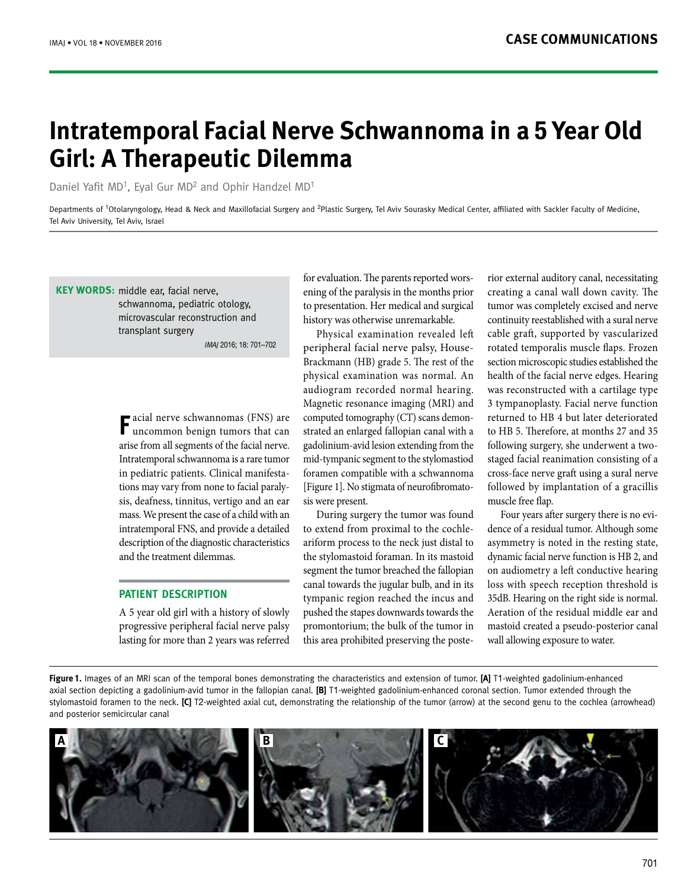# **Intratemporal Facial Nerve Schwannoma in a 5 Year Old Girl: A Therapeutic Dilemma**

Daniel Yafit MD<sup>1</sup>, Eyal Gur MD<sup>2</sup> and Ophir Handzel MD<sup>1</sup>

Departments of <sup>1</sup>Otolaryngology, Head & Neck and Maxillofacial Surgery and <sup>2</sup>Plastic Surgery, Tel Aviv Sourasky Medical Center, affiliated with Sackler Faculty of Medicine, Tel Aviv University, Tel Aviv, Israel

#### **KEY WORDS:** middle ear, facial nerve,

schwannoma, pediatric otology, microvascular reconstruction and transplant surgery

IMAJ 2016; 18: 701–702

**F**acial nerve schwannomas (FNS) are uncommon benign tumors that can arise from all segments of the facial nerve. Intratemporal schwannoma is a rare tumor in pediatric patients. Clinical manifestations may vary from none to facial paralysis, deafness, tinnitus, vertigo and an ear mass. We present the case of a child with an intratemporal FNS, and provide a detailed description of the diagnostic characteristics and the treatment dilemmas.

## **PATIENT DESCRIPTION**

A 5 year old girl with a history of slowly progressive peripheral facial nerve palsy lasting for more than 2 years was referred

for evaluation. The parents reported worsening of the paralysis in the months prior to presentation. Her medical and surgical history was otherwise unremarkable.

Physical examination revealed left peripheral facial nerve palsy, House-Brackmann (HB) grade 5. The rest of the physical examination was normal. An audiogram recorded normal hearing. Magnetic resonance imaging (MRI) and computed tomography (CT) scans demonstrated an enlarged fallopian canal with a gadolinium-avid lesion extending from the mid-tympanic segment to the stylomastiod foramen compatible with a schwannoma [Figure 1]. No stigmata of neurofibromatosis were present.

During surgery the tumor was found to extend from proximal to the cochleariform process to the neck just distal to the stylomastoid foraman. In its mastoid segment the tumor breached the fallopian canal towards the jugular bulb, and in its tympanic region reached the incus and pushed the stapes downwards towards the promontorium; the bulk of the tumor in this area prohibited preserving the poste-

rior external auditory canal, necessitating creating a canal wall down cavity. The tumor was completely excised and nerve continuity reestablished with a sural nerve cable graft, supported by vascularized rotated temporalis muscle flaps. Frozen section microscopic studies established the health of the facial nerve edges. Hearing was reconstructed with a cartilage type 3 tympanoplasty. Facial nerve function returned to HB 4 but later deteriorated to HB 5. Therefore, at months 27 and 35 following surgery, she underwent a twostaged facial reanimation consisting of a cross-face nerve graft using a sural nerve followed by implantation of a gracillis muscle free flap.

Four years after surgery there is no evidence of a residual tumor. Although some asymmetry is noted in the resting state, dynamic facial nerve function is HB 2, and on audiometry a left conductive hearing loss with speech reception threshold is 35dB. Hearing on the right side is normal. Aeration of the residual middle ear and mastoid created a pseudo-posterior canal wall allowing exposure to water.

**Figure 1.** Images of an MRI scan of the temporal bones demonstrating the characteristics and extension of tumor. **[A]** T1-weighted gadolinium-enhanced axial section depicting a gadolinium-avid tumor in the fallopian canal. **[B]** T1-weighted gadolinium-enhanced coronal section. Tumor extended through the stylomastoid foramen to the neck. **[C]** T2-weighted axial cut, demonstrating the relationship of the tumor (arrow) at the second genu to the cochlea (arrowhead) and posterior semicircular canal